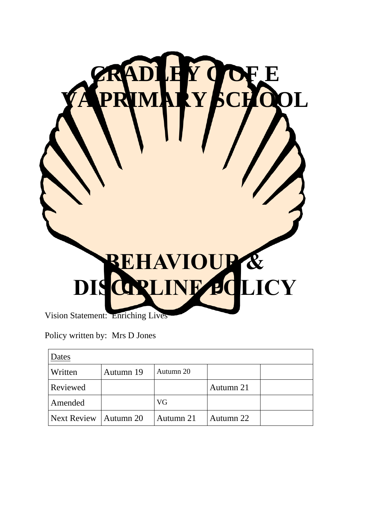

Vision Statement: Enriching Lives

Policy written by: Mrs D Jones

| Dates       |           |           |           |  |
|-------------|-----------|-----------|-----------|--|
| Written     | Autumn 19 | Autumn 20 |           |  |
| Reviewed    |           |           | Autumn 21 |  |
| Amended     |           | VG        |           |  |
| Next Review | Autumn 20 | Autumn 21 | Autumn 22 |  |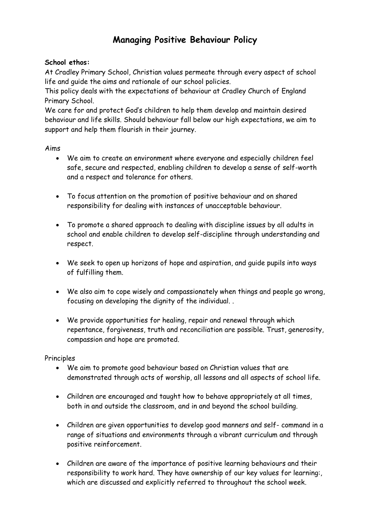# **Managing Positive Behaviour Policy**

### **School ethos:**

At Cradley Primary School, Christian values permeate through every aspect of school life and guide the aims and rationale of our school policies.

This policy deals with the expectations of behaviour at Cradley Church of England Primary School.

We care for and protect God's children to help them develop and maintain desired behaviour and life skills. Should behaviour fall below our high expectations, we aim to support and help them flourish in their journey.

### Aims

- We aim to create an environment where everyone and especially children feel safe, secure and respected, enabling children to develop a sense of self-worth and a respect and tolerance for others.
- To focus attention on the promotion of positive behaviour and on shared responsibility for dealing with instances of unacceptable behaviour.
- To promote a shared approach to dealing with discipline issues by all adults in school and enable children to develop self-discipline through understanding and respect.
- We seek to open up horizons of hope and aspiration, and guide pupils into ways of fulfilling them.
- We also aim to cope wisely and compassionately when things and people go wrong, focusing on developing the dignity of the individual. .
- We provide opportunities for healing, repair and renewal through which repentance, forgiveness, truth and reconciliation are possible. Trust, generosity, compassion and hope are promoted.

## Principles

- We aim to promote good behaviour based on Christian values that are demonstrated through acts of worship, all lessons and all aspects of school life.
- Children are encouraged and taught how to behave appropriately at all times, both in and outside the classroom, and in and beyond the school building.
- Children are given opportunities to develop good manners and self- command in a range of situations and environments through a vibrant curriculum and through positive reinforcement.
- Children are aware of the importance of positive learning behaviours and their responsibility to work hard. They have ownership of our key values for learning:, which are discussed and explicitly referred to throughout the school week.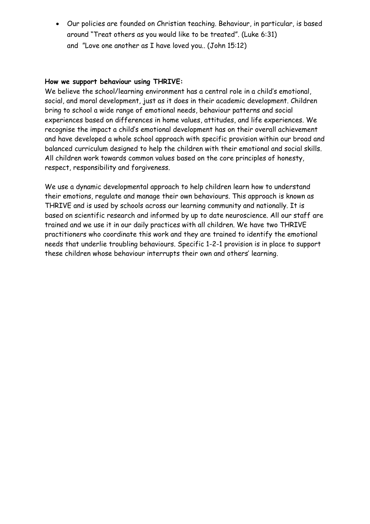• Our policies are founded on Christian teaching. Behaviour, in particular, is based around "Treat others as you would like to be treated". (Luke 6:31) and "Love one another as I have loved you.. (John 15:12)

#### **How we support behaviour using THRIVE:**

We believe the school/learning environment has a central role in a child's emotional, social, and moral development, just as it does in their academic development. Children bring to school a wide range of emotional needs, behaviour patterns and social experiences based on differences in home values, attitudes, and life experiences. We recognise the impact a child's emotional development has on their overall achievement and have developed a whole school approach with specific provision within our broad and balanced curriculum designed to help the children with their emotional and social skills. All children work towards common values based on the core principles of honesty, respect, responsibility and forgiveness.

We use a dynamic developmental approach to help children learn how to understand their emotions, regulate and manage their own behaviours. This approach is known as THRIVE and is used by schools across our learning community and nationally. It is based on scientific research and informed by up to date neuroscience. All our staff are trained and we use it in our daily practices with all children. We have two THRIVE practitioners who coordinate this work and they are trained to identify the emotional needs that underlie troubling behaviours. Specific 1-2-1 provision is in place to support these children whose behaviour interrupts their own and others' learning.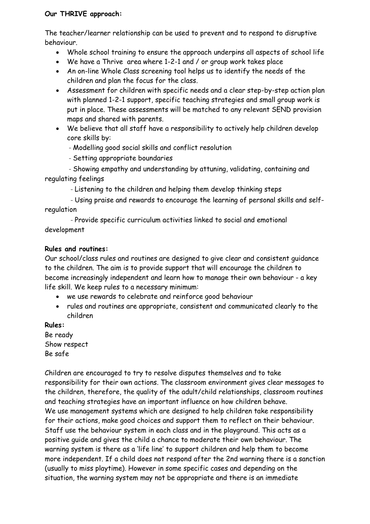### **Our THRIVE approach:**

The teacher/learner relationship can be used to prevent and to respond to disruptive behaviour.

- Whole school training to ensure the approach underpins all aspects of school life
- We have a Thrive area where 1-2-1 and / or group work takes place
- An on-line Whole Class screening tool helps us to identify the needs of the children and plan the focus for the class.
- Assessment for children with specific needs and a clear step-by-step action plan with planned 1-2-1 support, specific teaching strategies and small group work is put in place. These assessments will be matched to any relevant SEND provision maps and shared with parents.
- We believe that all staff have a responsibility to actively help children develop core skills by:

- Modelling good social skills and conflict resolution

- Setting appropriate boundaries

 - Showing empathy and understanding by attuning, validating, containing and regulating feelings

- Listening to the children and helping them develop thinking steps

 - Using praise and rewards to encourage the learning of personal skills and selfregulation

 - Provide specific curriculum activities linked to social and emotional development

### **Rules and routines:**

Our school/class rules and routines are designed to give clear and consistent guidance to the children. The aim is to provide support that will encourage the children to become increasingly independent and learn how to manage their own behaviour - a key life skill. We keep rules to a necessary minimum:

- we use rewards to celebrate and reinforce good behaviour
- rules and routines are appropriate, consistent and communicated clearly to the children

**Rules:**  Be ready

Show respect Be safe

Children are encouraged to try to resolve disputes themselves and to take responsibility for their own actions. The classroom environment gives clear messages to the children, therefore, the quality of the adult/child relationships, classroom routines and teaching strategies have an important influence on how children behave. We use management systems which are designed to help children take responsibility for their actions, make good choices and support them to reflect on their behaviour. Staff use the behaviour system in each class and in the playground. This acts as a positive guide and gives the child a chance to moderate their own behaviour. The warning system is there as a 'life line' to support children and help them to become more independent. If a child does not respond after the 2nd warning there is a sanction (usually to miss playtime). However in some specific cases and depending on the situation, the warning system may not be appropriate and there is an immediate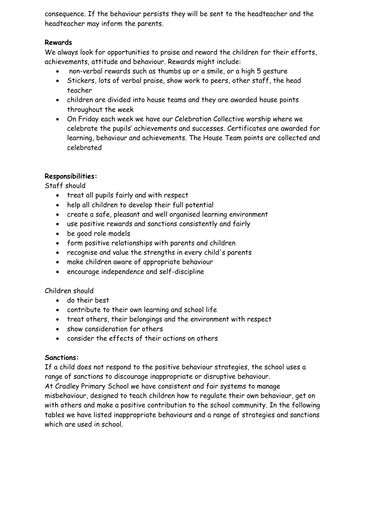consequence. If the behaviour persists they will be sent to the headteacher and the headteacher may inform the parents.

## **Rewards**

We always look for opportunities to praise and reward the children for their efforts, achievements, attitude and behaviour. Rewards might include:

- non-verbal rewards such as thumbs up or a smile, or a high 5 gesture
- Stickers, lots of verbal praise, show work to peers, other staff, the head teacher
- children are divided into house teams and they are awarded house points throughout the week
- On Friday each week we have our Celebration Collective worship where we celebrate the pupils' achievements and successes. Certificates are awarded for learning, behaviour and achievements. The House Team points are collected and celebrated

# **Responsibilities:**

Staff should

- treat all pupils fairly and with respect
- help all children to develop their full potential
- create a safe, pleasant and well organised learning environment
- use positive rewards and sanctions consistently and fairly
- be good role models
- form positive relationships with parents and children
- recognise and value the strengths in every child's parents
- make children aware of appropriate behaviour
- encourage independence and self-discipline

## Children should

- do their best
- contribute to their own learning and school life
- treat others, their belongings and the environment with respect
- show consideration for others
- consider the effects of their actions on others

## **Sanctions:**

If a child does not respond to the positive behaviour strategies, the school uses a range of sanctions to discourage inappropriate or disruptive behaviour.

At Cradley Primary School we have consistent and fair systems to manage misbehaviour, designed to teach children how to regulate their own behaviour, get on with others and make a positive contribution to the school community. In the following tables we have listed inappropriate behaviours and a range of strategies and sanctions which are used in school.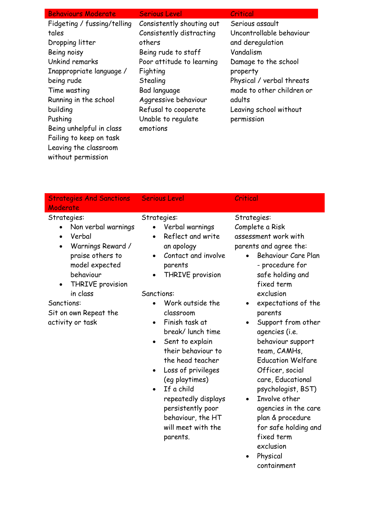| <b>Behaviours Moderate</b>  | <b>Serious Level</b>      | Critical                  |
|-----------------------------|---------------------------|---------------------------|
| Fidgeting / fussing/telling | Consistently shouting out | Serious assault           |
| tales                       | Consistently distracting  | Uncontrollable behaviour  |
| Dropping litter             | others                    | and deregulation          |
| Being noisy                 | Being rude to staff       | Vandalism                 |
| Unkind remarks              | Poor attitude to learning | Damage to the school      |
| Inappropriate language /    | Fighting                  | property                  |
| being rude                  | Stealing                  | Physical / verbal threats |
| Time wasting                | Bad language              | made to other children or |
| Running in the school       | Aggressive behaviour      | adults                    |
| building                    | Refusal to cooperate      | Leaving school without    |
| Pushing                     | Unable to regulate        | permission                |
| Being unhelpful in class    | emotions                  |                           |
| Failing to keep on task     |                           |                           |
| Leaving the classroom       |                           |                           |

without permission

| <b>Strategies And Sanctions</b><br>Moderate                                                                                                                                                                                                                         | <b>Serious Level</b>                                                                                                                                                                                                                                                                                                                                                                                                                                     | Critical                                                                                                                                                                                                                                                                                                                                                                                                                    |
|---------------------------------------------------------------------------------------------------------------------------------------------------------------------------------------------------------------------------------------------------------------------|----------------------------------------------------------------------------------------------------------------------------------------------------------------------------------------------------------------------------------------------------------------------------------------------------------------------------------------------------------------------------------------------------------------------------------------------------------|-----------------------------------------------------------------------------------------------------------------------------------------------------------------------------------------------------------------------------------------------------------------------------------------------------------------------------------------------------------------------------------------------------------------------------|
| Strategies:<br>Non verbal warnings<br>$\bullet$<br>Verbal<br>$\bullet$<br>Warnings Reward /<br>$\bullet$<br>praise others to<br>model expected<br>behaviour<br>THRIVE provision<br>$\bullet$<br>in class<br>Sanctions:<br>Sit on own Repeat the<br>activity or task | Strategies:<br>Verbal warnings<br>Reflect and write<br>$\bullet$<br>an apology<br>Contact and involve<br>$\bullet$<br>parents<br><b>THRIVE</b> provision<br>$\bullet$<br>Sanctions:<br>Work outside the<br>classroom<br>Finish task at<br>$\bullet$<br>break/lunch time<br>Sent to explain<br>٠<br>their behaviour to<br>the head teacher<br>Loss of privileges<br>$\bullet$<br>(eg playtimes)<br>If a child<br>repeatedly displays<br>persistently poor | Strategies:<br>Complete a Risk<br>assessment work with<br>parents and agree the:<br>Behaviour Care Plan<br>- procedure for<br>safe holding and<br>fixed term<br>exclusion<br>expectations of the<br>parents<br>Support from other<br>agencies (i.e.<br>behaviour support<br>team, CAMHs,<br><b>Education Welfare</b><br>Officer, social<br>care, Educational<br>psychologist, BST)<br>Involve other<br>agencies in the care |

behaviour, the HT will meet with the

parents.

- agencies in the care plan & procedure for safe holding and fixed term exclusion
- Physical containment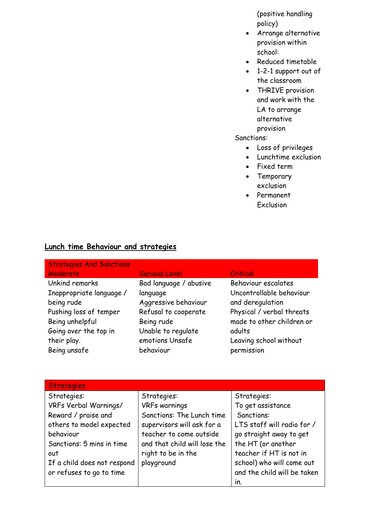(positive handling policy)

- Arrange alternative provision within school:
- Reduced timetable
- 1-2-1 support out of the classroom
- THRIVE provision and work with the LA to arrange alternative provision

### Sanctions:

- Loss of privileges
- Lunchtime exclusion
- Fixed term
- Temporary exclusion
- Permanent Exclusion

# **Lunch time Behaviour and strategies**

| <b>Strategies And Sanctions</b> |                        |                           |
|---------------------------------|------------------------|---------------------------|
| Moderate                        | <b>Serious Level</b>   | Critical                  |
| Unkind remarks                  | Bad language / abusive | Behaviour escalates       |
| Inappropriate language /        | language               | Uncontrollable behaviour  |
| being rude                      | Aggressive behaviour   | and deregulation          |
| Pushing loss of temper          | Refusal to cooperate   | Physical / verbal threats |
| Being unhelpful                 | Being rude             | made to other children or |
| Going over the top in           | Unable to regulate     | adults                    |
| their play.                     | emotions Unsafe        | Leaving school without    |
| Being unsafe                    | behaviour              | permission                |

| <b>Strategies</b>           |                              |                             |
|-----------------------------|------------------------------|-----------------------------|
| Strategies:                 | Strategies:                  | Strategies:                 |
| VRFs Verbal Warnings/       | <b>VRFs warnings</b>         | To get assistance           |
| Reward / praise and         | Sanctions: The Lunch time    | Sanctions:                  |
| others to model expected    | supervisors will ask for a   | LTS staff will radio for /  |
| behaviour                   | teacher to come outside      | go straight away to get     |
| Sanctions: 5 mins in time   | and that child will lose the | the HT (or another          |
| out                         | right to be in the           | teacher if HT is not in     |
| If a child does not respond | playground                   | school) who will come out   |
| or refuses to go to time    |                              | and the child will be taken |
|                             |                              | $\mathsf{in}$ .             |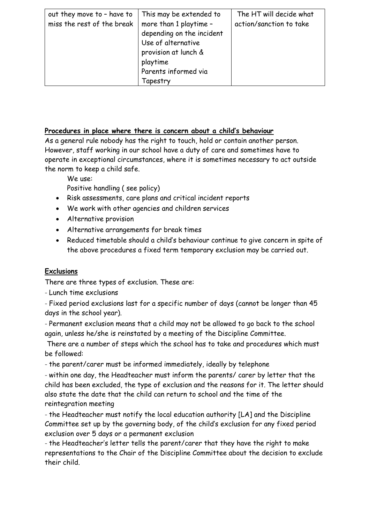| out they move to - have to | This may be extended to   | The HT will decide what |
|----------------------------|---------------------------|-------------------------|
| miss the rest of the break | more than 1 playtime -    | action/sanction to take |
|                            | depending on the incident |                         |
|                            | Use of alternative        |                         |
|                            | provision at lunch &      |                         |
|                            | playtime                  |                         |
|                            | Parents informed via      |                         |
|                            | Tapestry                  |                         |

## **Procedures in place where there is concern about a child's behaviour**

As a general rule nobody has the right to touch, hold or contain another person. However, staff working in our school have a duty of care and sometimes have to operate in exceptional circumstances, where it is sometimes necessary to act outside the norm to keep a child safe.

We use:

Positive handling ( see policy)

- Risk assessments, care plans and critical incident reports
- We work with other agencies and children services
- Alternative provision
- Alternative arrangements for break times
- Reduced timetable should a child's behaviour continue to give concern in spite of the above procedures a fixed term temporary exclusion may be carried out.

# **Exclusions**

There are three types of exclusion. These are:

- Lunch time exclusions

- Fixed period exclusions last for a specific number of days (cannot be longer than 45 days in the school year).

- Permanent exclusion means that a child may not be allowed to go back to the school again, unless he/she is reinstated by a meeting of the Discipline Committee.

There are a number of steps which the school has to take and procedures which must be followed:

- the parent/carer must be informed immediately, ideally by telephone

- within one day, the Headteacher must inform the parents/ carer by letter that the child has been excluded, the type of exclusion and the reasons for it. The letter should also state the date that the child can return to school and the time of the reintegration meeting

- the Headteacher must notify the local education authority [LA] and the Discipline Committee set up by the governing body, of the child's exclusion for any fixed period exclusion over 5 days or a permanent exclusion

- the Headteacher's letter tells the parent/carer that they have the right to make representations to the Chair of the Discipline Committee about the decision to exclude their child.